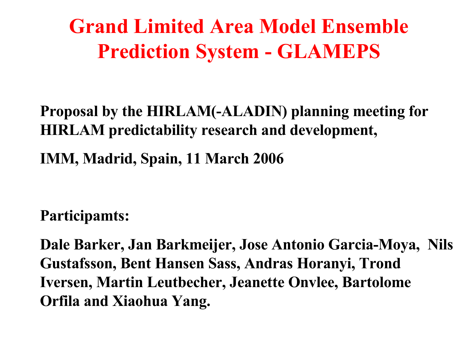### **Grand Limited Area Model Ensemble Prediction System - GLAMEPS**

#### **Proposal by the HIRLAM(-ALADIN) planning meeting for HIRLAM predictability research and development,**

**IMM, Madrid, Spain, 11 March 2006**

**Participamts:**

**Dale Barker, Jan Barkmeijer, Jose Antonio Garcia-Moya, Nils Gustafsson, Bent Hansen Sass, Andras Horanyi, Trond Iversen, Martin Leutbecher, Jeanette Onvlee, Bartolome Orfila and Xiaohua Yang.**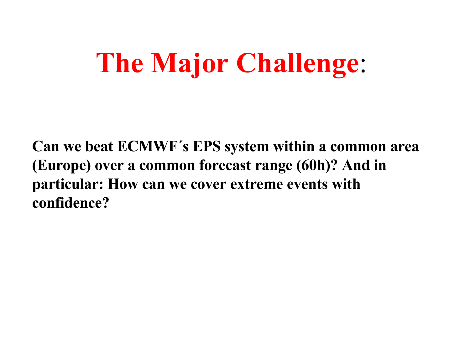# **The Major Challenge**:

**Can we beat ECMWF´s EPS system within a common area (Europe) over a common forecast range (60h)? And in particular: How can we cover extreme events with confidence?**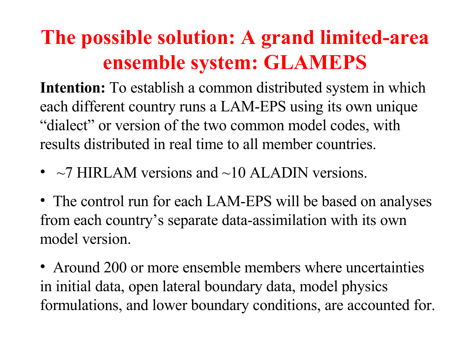### **The possible solution: A grand limited-area ensemble system: GLAMEPS**

**Intention:** To establish a common distributed system in which each different country runs a LAM-EPS using its own unique "dialect" or version of the two common model codes, with results distributed in real time to all member countries.

•  $\sim$  7 HIRLAM versions and  $\sim$ 10 ALADIN versions.

• The control run for each LAM-EPS will be based on analyses from each country's separate data-assimilation with its own model version.

• Around 200 or more ensemble members where uncertainties in initial data, open lateral boundary data, model physics formulations, and lower boundary conditions, are accounted for.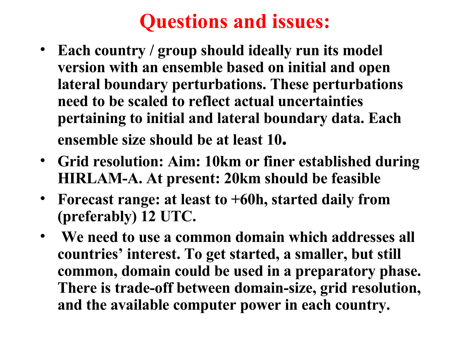### **Questions and issues:**

- **Each country / group should ideally run its model version with an ensemble based on initial and open lateral boundary perturbations. These perturbations need to be scaled to reflect actual uncertainties pertaining to initial and lateral boundary data. Each ensemble size should be at least 10.**
- **Grid resolution: Aim: 10km or finer established during HIRLAM-A. At present: 20km should be feasible**
- **Forecast range: at least to +60h, started daily from (preferably) 12 UTC.**
- **We need to use a common domain which addresses all countries' interest. To get started, a smaller, but still common, domain could be used in a preparatory phase. There is trade-off between domain-size, grid resolution, and the available computer power in each country.**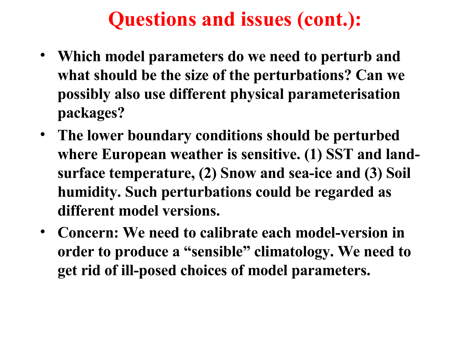### **Questions and issues (cont.):**

- **Which model parameters do we need to perturb and what should be the size of the perturbations? Can we possibly also use different physical parameterisation packages?**
- **The lower boundary conditions should be perturbed where European weather is sensitive. (1) SST and landsurface temperature, (2) Snow and sea-ice and (3) Soil humidity. Such perturbations could be regarded as different model versions.**
- **Concern: We need to calibrate each model-version in order to produce a "sensible" climatology. We need to get rid of ill-posed choices of model parameters.**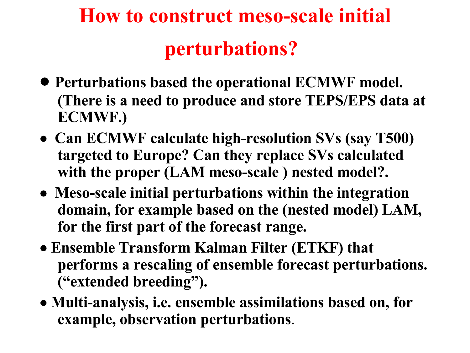### **How to construct meso-scale initial perturbations?**

- **Perturbations based the operational ECMWF model. (There is a need to produce and store TEPS/EPS data at ECMWF.)**
- **Can ECMWF calculate high-resolution SVs (say T500) targeted to Europe? Can they replace SVs calculated with the proper (LAM meso-scale ) nested model?.**
- **Meso-scale initial perturbations within the integration domain, for example based on the (nested model) LAM, for the first part of the forecast range.**
- **Ensemble Transform Kalman Filter (ETKF) that performs a rescaling of ensemble forecast perturbations. ("extended breeding").**
- **Multi-analysis, i.e. ensemble assimilations based on, for example, observation perturbations**.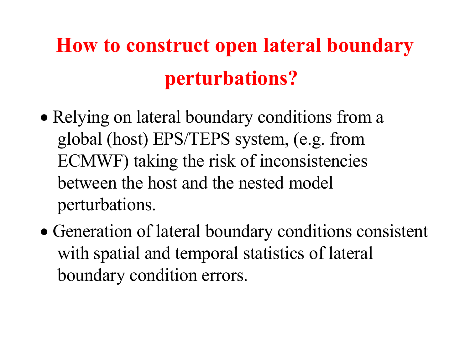## **How to construct open lateral boundary perturbations?**

- Relying on lateral boundary conditions from a global (host) EPS/TEPS system, (e.g. from ECMWF) taking the risk of inconsistencies between the host and the nested model perturbations.
- Generation of lateral boundary conditions consistent with spatial and temporal statistics of lateral boundary condition errors.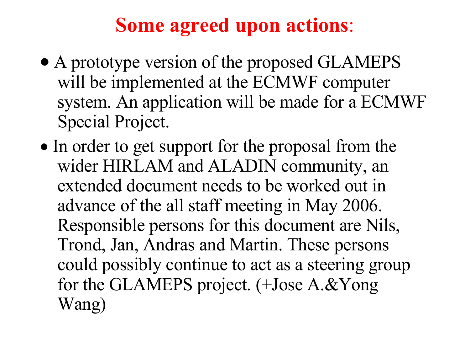### **Some agreed upon actions**:

- A prototype version of the proposed GLAMEPS will be implemented at the ECMWF computer system. An application will be made for a ECMWF Special Project.
- In order to get support for the proposal from the wider HIRLAM and ALADIN community, an extended document needs to be worked out in advance of the all staff meeting in May 2006. Responsible persons for this document are Nils, Trond, Jan, Andras and Martin. These persons could possibly continue to act as a steering group for the GLAMEPS project. (+Jose A.&Yong Wang)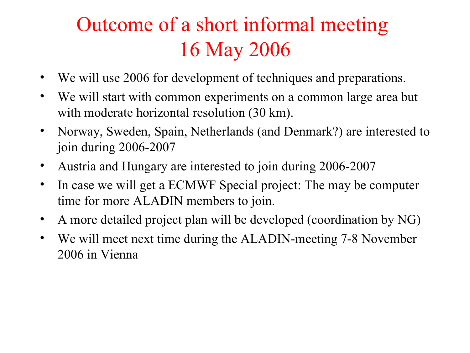### Outcome of a short informal meeting 16 May 2006

- We will use 2006 for development of techniques and preparations.
- We will start with common experiments on a common large area but with moderate horizontal resolution (30 km).
- Norway, Sweden, Spain, Netherlands (and Denmark?) are interested to join during 2006-2007
- Austria and Hungary are interested to join during 2006-2007
- In case we will get a ECMWF Special project: The may be computer time for more ALADIN members to join.
- A more detailed project plan will be developed (coordination by NG)
- We will meet next time during the ALADIN-meeting 7-8 November 2006 in Vienna